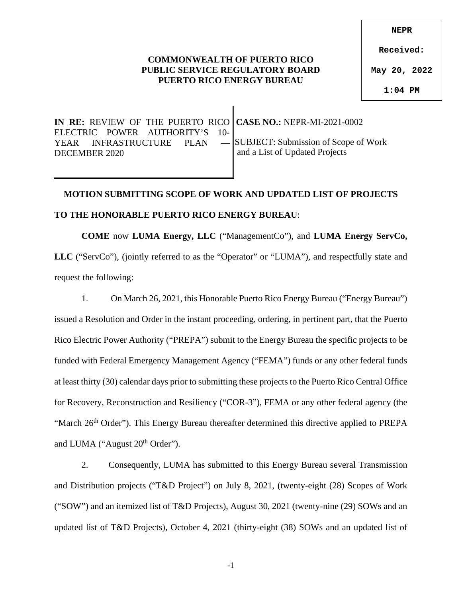### **COMMONWEALTH OF PUERTO RICO PUBLIC SERVICE REGULATORY BOARD PUERTO RICO ENERGY BUREAU**

**Received:**

**May 20, 2022**

**1:04 PM**

| IN RE: REVIEW OF THE PUERTO RICO CASE NO.: NEPR-MI-2021-0002    |                                |
|-----------------------------------------------------------------|--------------------------------|
| ELECTRIC POWER AUTHORITY'S 10-                                  |                                |
| YEAR INFRASTRUCTURE PLAN - SUBJECT: Submission of Scope of Work |                                |
| DECEMBER 2020                                                   | and a List of Updated Projects |
|                                                                 |                                |

# **MOTION SUBMITTING SCOPE OF WORK AND UPDATED LIST OF PROJECTS**

### **TO THE HONORABLE PUERTO RICO ENERGY BUREAU**:

**COME** now **LUMA Energy, LLC** ("ManagementCo"), and **LUMA Energy ServCo, LLC** ("ServCo"), (jointly referred to as the "Operator" or "LUMA"), and respectfully state and request the following:

1. On March 26, 2021, this Honorable Puerto Rico Energy Bureau ("Energy Bureau") issued a Resolution and Order in the instant proceeding, ordering, in pertinent part, that the Puerto Rico Electric Power Authority ("PREPA") submit to the Energy Bureau the specific projects to be funded with Federal Emergency Management Agency ("FEMA") funds or any other federal funds at least thirty (30) calendar days prior to submitting these projects to the Puerto Rico Central Office for Recovery, Reconstruction and Resiliency ("COR-3"), FEMA or any other federal agency (the "March  $26<sup>th</sup> Order"$ ). This Energy Bureau thereafter determined this directive applied to PREPA and LUMA ("August 20<sup>th</sup> Order").

2. Consequently, LUMA has submitted to this Energy Bureau several Transmission and Distribution projects ("T&D Project") on July 8, 2021, (twenty-eight (28) Scopes of Work ("SOW") and an itemized list of T&D Projects), August 30, 2021 (twenty-nine (29) SOWs and an updated list of T&D Projects), October 4, 2021 (thirty-eight (38) SOWs and an updated list of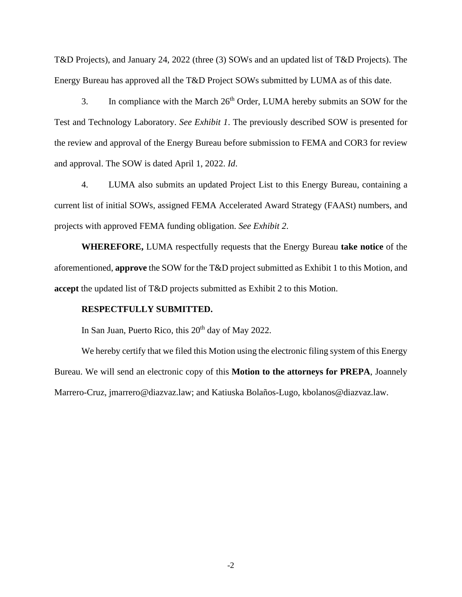T&D Projects), and January 24, 2022 (three (3) SOWs and an updated list of T&D Projects). The Energy Bureau has approved all the T&D Project SOWs submitted by LUMA as of this date.

3. In compliance with the March  $26<sup>th</sup>$  Order, LUMA hereby submits an SOW for the Test and Technology Laboratory. *See Exhibit 1*. The previously described SOW is presented for the review and approval of the Energy Bureau before submission to FEMA and COR3 for review and approval. The SOW is dated April 1, 2022. *Id*.

4. LUMA also submits an updated Project List to this Energy Bureau, containing a current list of initial SOWs, assigned FEMA Accelerated Award Strategy (FAASt) numbers, and projects with approved FEMA funding obligation. *See Exhibit 2*.

**WHEREFORE,** LUMA respectfully requests that the Energy Bureau **take notice** of the aforementioned, **approve** the SOW for the T&D project submitted as Exhibit 1 to this Motion, and **accept** the updated list of T&D projects submitted as Exhibit 2 to this Motion.

#### **RESPECTFULLY SUBMITTED.**

In San Juan, Puerto Rico, this  $20<sup>th</sup>$  day of May 2022.

We hereby certify that we filed this Motion using the electronic filing system of this Energy Bureau. We will send an electronic copy of this **Motion to the attorneys for PREPA**, Joannely Marrero-Cruz, jmarrero@diazvaz.law; and Katiuska Bolaños-Lugo, kbolanos@diazvaz.law.

-2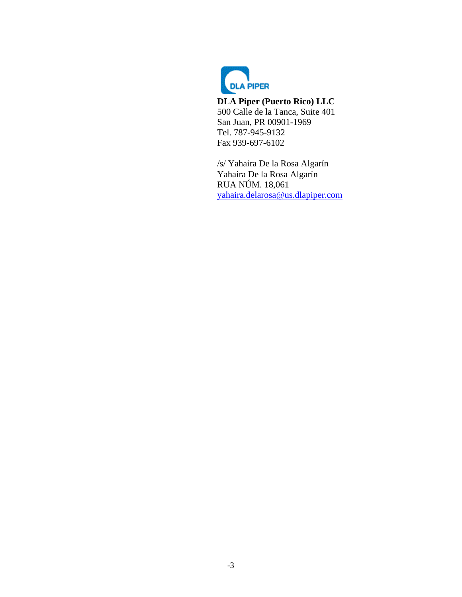

**DLA Piper (Puerto Rico) LLC**  500 Calle de la Tanca, Suite 401 San Juan, PR 00901-1969 Tel. 787-945-9132 Fax 939-697-6102

/s/ Yahaira De la Rosa Algarín Yahaira De la Rosa Algarín RUA NÚM. 18,061 [yahaira.delarosa@us.dlapiper.com](mailto:yahaira.delarosa@us.dlapiper.com)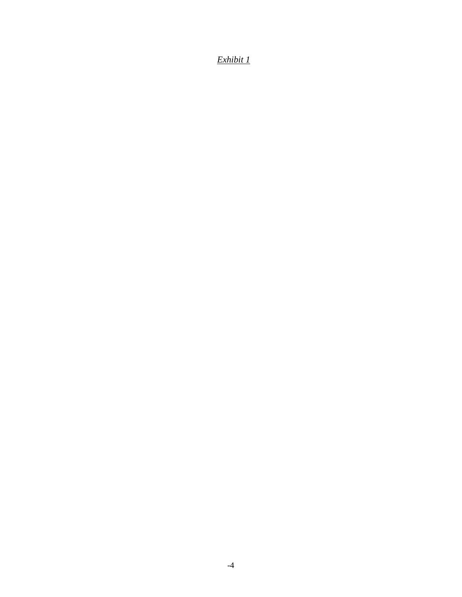# *Exhibit 1*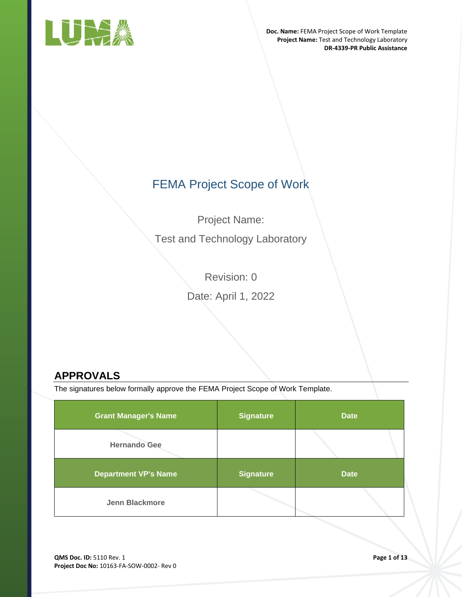

# FEMA Project Scope of Work

Project Name:

Test and Technology Laboratory

Revision: 0 Date: April 1, 2022

# <span id="page-4-0"></span>**APPROVALS**

The signatures below formally approve the FEMA Project Scope of Work Template.

| <b>Grant Manager's Name</b> | <b>Signature</b> | <b>Date</b> |
|-----------------------------|------------------|-------------|
| <b>Hernando Gee</b>         |                  |             |
| <b>Department VP's Name</b> | <b>Signature</b> | <b>Date</b> |
| <b>Jenn Blackmore</b>       |                  |             |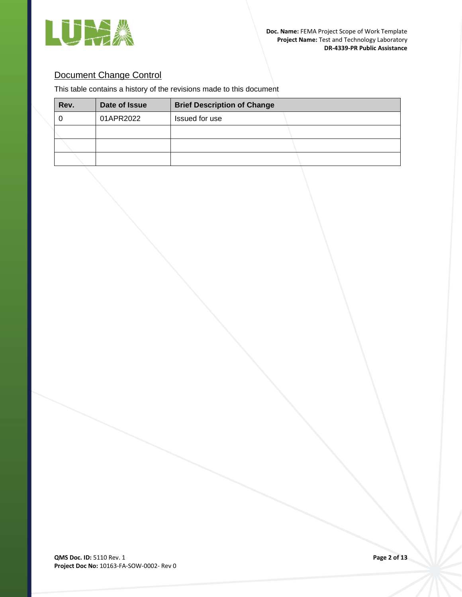

# Document Change Control

This table contains a history of the revisions made to this document

| Rev. | Date of Issue | <b>Brief Description of Change</b> |
|------|---------------|------------------------------------|
|      | 01APR2022     | Issued for use                     |
|      |               |                                    |
|      |               |                                    |
|      |               |                                    |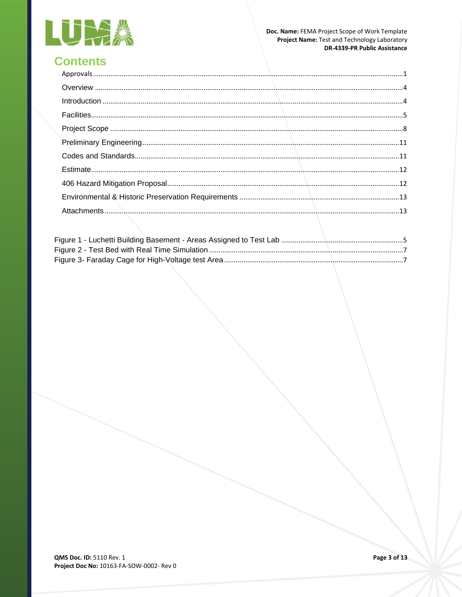

# **Contents**

| $\label{eq:1} \text{Introduction} \,\, \ldots \,\, \ldots \,\, \ldots \,\, \ldots \,\, \ldots \,\, \ldots \,\, \ldots \,\, \ldots \,\, \ldots \,\, \ldots \,\, \ldots \,\, \ldots \,\, \ldots \,\, \ldots \,\, \ldots \,\, \ldots \,\, \ldots \,\, \ldots \,\, \ldots \,\, \ldots \,\, \ldots \,\, \ldots \,\, \ldots \,\, \ldots \,\, \ldots \,\, \ldots \,\, \ldots \,\, \ldots \,\, \ldots \,\, \ldots \,\, \ldots \,\, \ldots \,\, \ldots \,\, \ldots \,\, \$ |  |
|-------------------------------------------------------------------------------------------------------------------------------------------------------------------------------------------------------------------------------------------------------------------------------------------------------------------------------------------------------------------------------------------------------------------------------------------------------------------|--|
|                                                                                                                                                                                                                                                                                                                                                                                                                                                                   |  |
|                                                                                                                                                                                                                                                                                                                                                                                                                                                                   |  |
|                                                                                                                                                                                                                                                                                                                                                                                                                                                                   |  |
|                                                                                                                                                                                                                                                                                                                                                                                                                                                                   |  |
|                                                                                                                                                                                                                                                                                                                                                                                                                                                                   |  |
|                                                                                                                                                                                                                                                                                                                                                                                                                                                                   |  |
|                                                                                                                                                                                                                                                                                                                                                                                                                                                                   |  |
|                                                                                                                                                                                                                                                                                                                                                                                                                                                                   |  |
|                                                                                                                                                                                                                                                                                                                                                                                                                                                                   |  |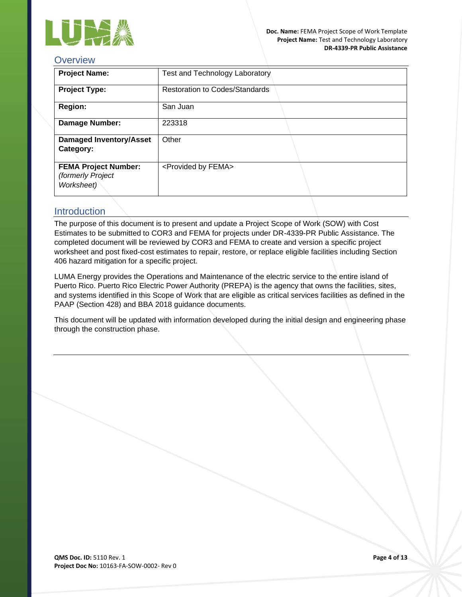

# <span id="page-7-0"></span>**Overview**

| <b>Project Name:</b>                                           | <b>Test and Technology Laboratory</b> |
|----------------------------------------------------------------|---------------------------------------|
| <b>Project Type:</b>                                           | <b>Restoration to Codes/Standards</b> |
| <b>Region:</b>                                                 | San Juan                              |
| <b>Damage Number:</b>                                          | 223318                                |
| <b>Damaged Inventory/Asset</b><br>Category:                    | Other                                 |
| <b>FEMA Project Number:</b><br>(formerly Project<br>Worksheet) | <provided by="" fema=""></provided>   |

## <span id="page-7-1"></span>Introduction

The purpose of this document is to present and update a Project Scope of Work (SOW) with Cost Estimates to be submitted to COR3 and FEMA for projects under DR-4339-PR Public Assistance. The completed document will be reviewed by COR3 and FEMA to create and version a specific project worksheet and post fixed-cost estimates to repair, restore, or replace eligible facilities including Section 406 hazard mitigation for a specific project.

LUMA Energy provides the Operations and Maintenance of the electric service to the entire island of Puerto Rico. Puerto Rico Electric Power Authority (PREPA) is the agency that owns the facilities, sites, and systems identified in this Scope of Work that are eligible as critical services facilities as defined in the PAAP (Section 428) and BBA 2018 guidance documents.

This document will be updated with information developed during the initial design and engineering phase through the construction phase.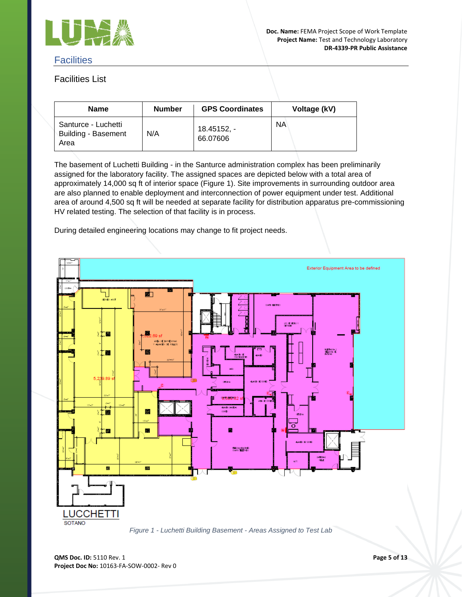

## <span id="page-8-0"></span>**Facilities**

# Facilities List

| <b>Name</b>                                               | <b>Number</b> | <b>GPS Coordinates</b>  | Voltage (kV) |
|-----------------------------------------------------------|---------------|-------------------------|--------------|
| Santurce - Luchetti<br><b>Building - Basement</b><br>Area | N/A           | 18.45152, -<br>66.07606 | ΝA           |

The basement of Luchetti Building - in the Santurce administration complex has been preliminarily assigned for the laboratory facility. The assigned spaces are depicted below with a total area of approximately 14,000 sq ft of interior space (Figure 1). Site improvements in surrounding outdoor area are also planned to enable deployment and interconnection of power equipment under test. Additional area of around 4,500 sq ft will be needed at separate facility for distribution apparatus pre-commissioning HV related testing. The selection of that facility is in process.

During detailed engineering locations may change to fit project needs.



<span id="page-8-1"></span>*Figure 1 - Luchetti Building Basement - Areas Assigned to Test Lab*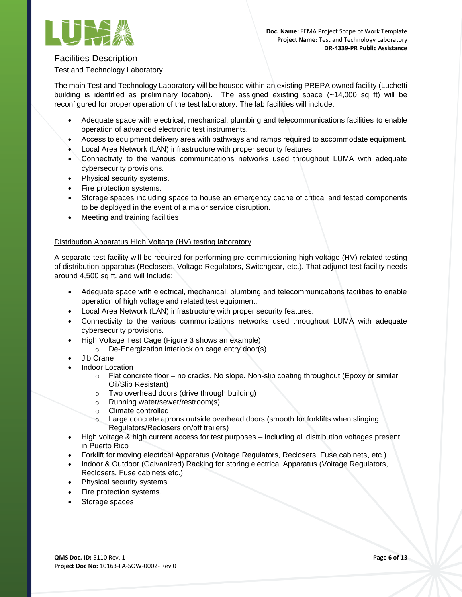

### Facilities Description

### Test and Technology Laboratory

The main Test and Technology Laboratory will be housed within an existing PREPA owned facility (Luchetti building is identified as preliminary location). The assigned existing space (~14,000 sq ft) will be reconfigured for proper operation of the test laboratory. The lab facilities will include:

- Adequate space with electrical, mechanical, plumbing and telecommunications facilities to enable operation of advanced electronic test instruments.
- Access to equipment delivery area with pathways and ramps required to accommodate equipment.
- Local Area Network (LAN) infrastructure with proper security features.
- Connectivity to the various communications networks used throughout LUMA with adequate cybersecurity provisions.
- Physical security systems.
- Fire protection systems.
- Storage spaces including space to house an emergency cache of critical and tested components to be deployed in the event of a major service disruption.
- Meeting and training facilities

#### Distribution Apparatus High Voltage (HV) testing laboratory

A separate test facility will be required for performing pre-commissioning high voltage (HV) related testing of distribution apparatus (Reclosers, Voltage Regulators, Switchgear, etc.). That adjunct test facility needs around 4,500 sq ft. and will Include:

- Adequate space with electrical, mechanical, plumbing and telecommunications facilities to enable operation of high voltage and related test equipment.
- Local Area Network (LAN) infrastructure with proper security features.
- Connectivity to the various communications networks used throughout LUMA with adequate cybersecurity provisions.
- High Voltage Test Cage (Figure 3 shows an example)
	- o De-Energization interlock on cage entry door(s)
- Jib Crane
- Indoor Location
	- $\circ$  Flat concrete floor no cracks. No slope. Non-slip coating throughout (Epoxy or similar Oil/Slip Resistant)
	- o Two overhead doors (drive through building)
	- o Running water/sewer/restroom(s)
	- o Climate controlled
	- o Large concrete aprons outside overhead doors (smooth for forklifts when slinging Regulators/Reclosers on/off trailers)
- High voltage & high current access for test purposes including all distribution voltages present in Puerto Rico
- Forklift for moving electrical Apparatus (Voltage Regulators, Reclosers, Fuse cabinets, etc.)
- Indoor & Outdoor (Galvanized) Racking for storing electrical Apparatus (Voltage Regulators, Reclosers, Fuse cabinets etc.)
- Physical security systems.
- Fire protection systems.
- Storage spaces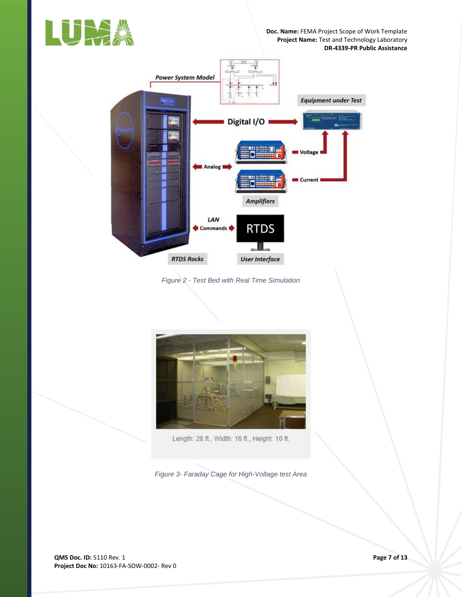



<span id="page-10-0"></span>*Figure 2 - Test Bed with Real Time Simulation*



Length: 28 ft., Width: 16 ft., Height: 10 ft.

<span id="page-10-1"></span>*Figure 3- Faraday Cage for High-Voltage test Area*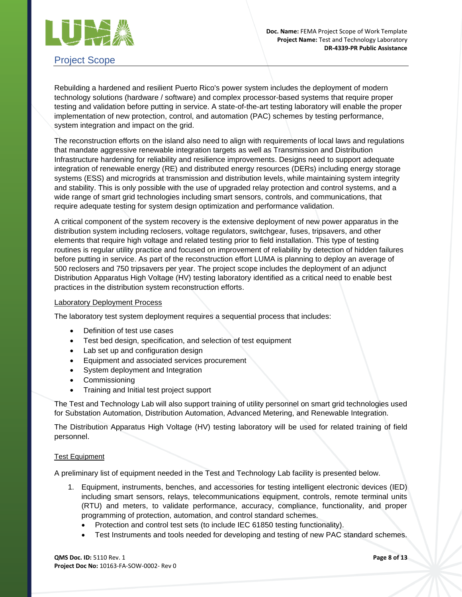

# <span id="page-11-0"></span>Project Scope

Rebuilding a hardened and resilient Puerto Rico's power system includes the deployment of modern technology solutions (hardware / software) and complex processor-based systems that require proper testing and validation before putting in service. A state-of-the-art testing laboratory will enable the proper implementation of new protection, control, and automation (PAC) schemes by testing performance, system integration and impact on the grid.

The reconstruction efforts on the island also need to align with requirements of local laws and regulations that mandate aggressive renewable integration targets as well as Transmission and Distribution Infrastructure hardening for reliability and resilience improvements. Designs need to support adequate integration of renewable energy (RE) and distributed energy resources (DERs) including energy storage systems (ESS) and microgrids at transmission and distribution levels, while maintaining system integrity and stability. This is only possible with the use of upgraded relay protection and control systems, and a wide range of smart grid technologies including smart sensors, controls, and communications, that require adequate testing for system design optimization and performance validation.

A critical component of the system recovery is the extensive deployment of new power apparatus in the distribution system including reclosers, voltage regulators, switchgear, fuses, tripsavers, and other elements that require high voltage and related testing prior to field installation. This type of testing routines is regular utility practice and focused on improvement of reliability by detection of hidden failures before putting in service. As part of the reconstruction effort LUMA is planning to deploy an average of 500 reclosers and 750 tripsavers per year. The project scope includes the deployment of an adjunct Distribution Apparatus High Voltage (HV) testing laboratory identified as a critical need to enable best practices in the distribution system reconstruction efforts.

#### Laboratory Deployment Process

The laboratory test system deployment requires a sequential process that includes:

- Definition of test use cases
- Test bed design, specification, and selection of test equipment
- Lab set up and configuration design
- Equipment and associated services procurement
- System deployment and Integration
- **Commissioning**
- Training and Initial test project support

The Test and Technology Lab will also support training of utility personnel on smart grid technologies used for Substation Automation, Distribution Automation, Advanced Metering, and Renewable Integration.

The Distribution Apparatus High Voltage (HV) testing laboratory will be used for related training of field personnel.

#### Test Equipment

A preliminary list of equipment needed in the Test and Technology Lab facility is presented below.

- 1. Equipment, instruments, benches, and accessories for testing intelligent electronic devices (IED) including smart sensors, relays, telecommunications equipment, controls, remote terminal units (RTU) and meters, to validate performance, accuracy, compliance, functionality, and proper programming of protection, automation, and control standard schemes.
	- Protection and control test sets (to include IEC 61850 testing functionality).
	- Test Instruments and tools needed for developing and testing of new PAC standard schemes.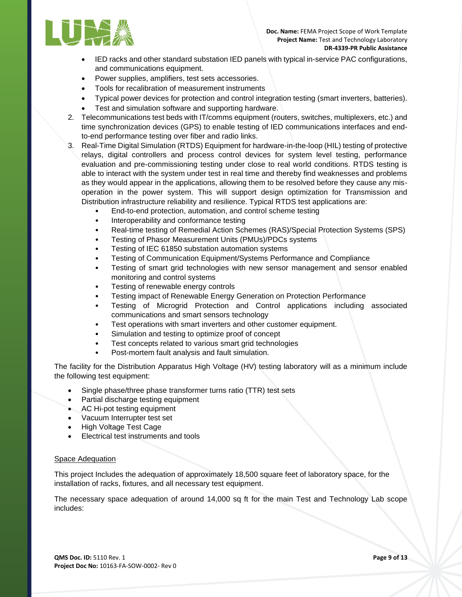

- IED racks and other standard substation IED panels with typical in-service PAC configurations, and communications equipment.
- Power supplies, amplifiers, test sets accessories.
- Tools for recalibration of measurement instruments
- Typical power devices for protection and control integration testing (smart inverters, batteries).
- Test and simulation software and supporting hardware.
- 2. Telecommunications test beds with IT/comms equipment (routers, switches, multiplexers, etc.) and time synchronization devices (GPS) to enable testing of IED communications interfaces and endto-end performance testing over fiber and radio links.
- 3. Real-Time Digital Simulation (RTDS) Equipment for hardware-in-the-loop (HIL) testing of protective relays, digital controllers and process control devices for system level testing, performance evaluation and pre-commissioning testing under close to real world conditions. RTDS testing is able to interact with the system under test in real time and thereby find weaknesses and problems as they would appear in the applications, allowing them to be resolved before they cause any misoperation in the power system. This will support design optimization for Transmission and Distribution infrastructure reliability and resilience. Typical RTDS test applications are:
	- End-to-end protection, automation, and control scheme testing
	- Interoperability and conformance testing
	- Real-time testing of Remedial Action Schemes (RAS)/Special Protection Systems (SPS)
	- Testing of Phasor Measurement Units (PMUs)/PDCs systems
	- Testing of IEC 61850 substation automation systems
	- Testing of Communication Equipment/Systems Performance and Compliance
	- Testing of smart grid technologies with new sensor management and sensor enabled monitoring and control systems
	- Testing of renewable energy controls
	- Testing impact of Renewable Energy Generation on Protection Performance
	- Testing of Microgrid Protection and Control applications including associated communications and smart sensors technology
	- Test operations with smart inverters and other customer equipment.
	- Simulation and testing to optimize proof of concept
	- Test concepts related to various smart grid technologies
	- Post-mortem fault analysis and fault simulation.

The facility for the Distribution Apparatus High Voltage (HV) testing laboratory will as a minimum include the following test equipment:

- Single phase/three phase transformer turns ratio (TTR) test sets
- Partial discharge testing equipment
- AC Hi-pot testing equipment
- Vacuum Interrupter test set
- High Voltage Test Cage
- Electrical test instruments and tools

#### Space Adequation

This project Includes the adequation of approximately 18,500 square feet of laboratory space, for the installation of racks, fixtures, and all necessary test equipment.

The necessary space adequation of around 14,000 sq ft for the main Test and Technology Lab scope includes: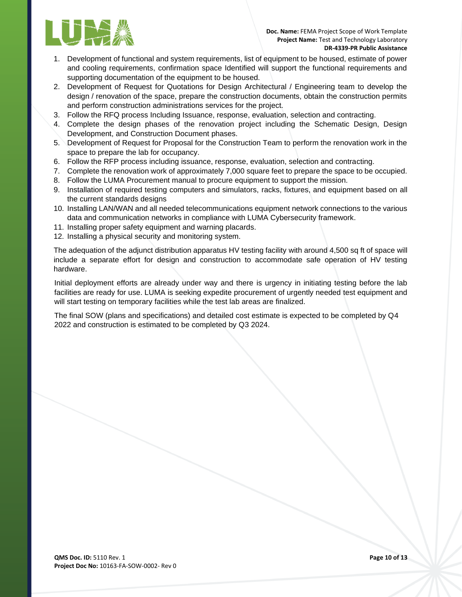

- 1. Development of functional and system requirements, list of equipment to be housed, estimate of power and cooling requirements, confirmation space Identified will support the functional requirements and supporting documentation of the equipment to be housed.
- 2. Development of Request for Quotations for Design Architectural / Engineering team to develop the design / renovation of the space, prepare the construction documents, obtain the construction permits and perform construction administrations services for the project.
- 3. Follow the RFQ process Including Issuance, response, evaluation, selection and contracting.
- 4. Complete the design phases of the renovation project including the Schematic Design, Design Development, and Construction Document phases.
- 5. Development of Request for Proposal for the Construction Team to perform the renovation work in the space to prepare the lab for occupancy.
- 6. Follow the RFP process including issuance, response, evaluation, selection and contracting.
- 7. Complete the renovation work of approximately 7,000 square feet to prepare the space to be occupied.
- 8. Follow the LUMA Procurement manual to procure equipment to support the mission.
- 9. Installation of required testing computers and simulators, racks, fixtures, and equipment based on all the current standards designs
- 10. Installing LAN/WAN and all needed telecommunications equipment network connections to the various data and communication networks in compliance with LUMA Cybersecurity framework.
- 11. Installing proper safety equipment and warning placards.
- 12. Installing a physical security and monitoring system.

The adequation of the adjunct distribution apparatus HV testing facility with around 4,500 sq ft of space will include a separate effort for design and construction to accommodate safe operation of HV testing hardware.

Initial deployment efforts are already under way and there is urgency in initiating testing before the lab facilities are ready for use. LUMA is seeking expedite procurement of urgently needed test equipment and will start testing on temporary facilities while the test lab areas are finalized.

The final SOW (plans and specifications) and detailed cost estimate is expected to be completed by Q4 2022 and construction is estimated to be completed by Q3 2024.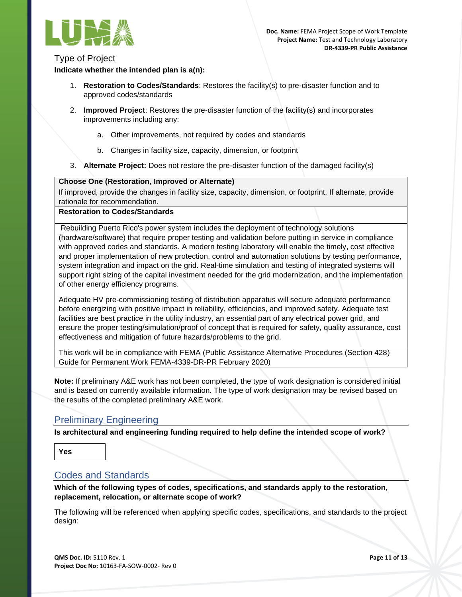

### Type of Project

**Indicate whether the intended plan is a(n):**

- 1. **Restoration to Codes/Standards**: Restores the facility(s) to pre-disaster function and to approved codes/standards
- 2. **Improved Project**: Restores the pre-disaster function of the facility(s) and incorporates improvements including any:
	- a. Other improvements, not required by codes and standards
	- b. Changes in facility size, capacity, dimension, or footprint
- 3. **Alternate Project:** Does not restore the pre-disaster function of the damaged facility(s)

#### **Choose One (Restoration, Improved or Alternate)**

If improved, provide the changes in facility size, capacity, dimension, or footprint. If alternate, provide rationale for recommendation.

#### **Restoration to Codes/Standards**

Rebuilding Puerto Rico's power system includes the deployment of technology solutions (hardware/software) that require proper testing and validation before putting in service in compliance with approved codes and standards. A modern testing laboratory will enable the timely, cost effective and proper implementation of new protection, control and automation solutions by testing performance, system integration and impact on the grid. Real-time simulation and testing of integrated systems will support right sizing of the capital investment needed for the grid modernization, and the implementation of other energy efficiency programs.

Adequate HV pre-commissioning testing of distribution apparatus will secure adequate performance before energizing with positive impact in reliability, efficiencies, and improved safety. Adequate test facilities are best practice in the utility industry, an essential part of any electrical power grid, and ensure the proper testing/simulation/proof of concept that is required for safety, quality assurance, cost effectiveness and mitigation of future hazards/problems to the grid.

This work will be in compliance with FEMA (Public Assistance Alternative Procedures (Section 428) Guide for Permanent Work FEMA-4339-DR-PR February 2020)

**Note:** If preliminary A&E work has not been completed, the type of work designation is considered initial and is based on currently available information. The type of work designation may be revised based on the results of the completed preliminary A&E work.

# <span id="page-14-0"></span>Preliminary Engineering

**Is architectural and engineering funding required to help define the intended scope of work?**

**Yes**

### <span id="page-14-1"></span>Codes and Standards

**Which of the following types of codes, specifications, and standards apply to the restoration, replacement, relocation, or alternate scope of work?**

The following will be referenced when applying specific codes, specifications, and standards to the project design: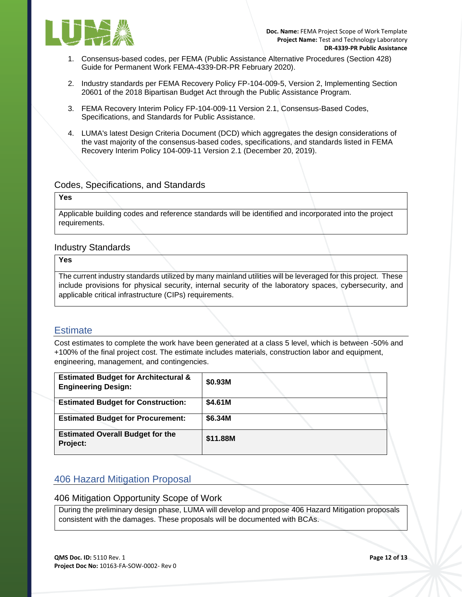

- 1. Consensus-based codes, per FEMA (Public Assistance Alternative Procedures (Section 428) Guide for Permanent Work FEMA-4339-DR-PR February 2020).
- 2. Industry standards per FEMA Recovery Policy FP-104-009-5, Version 2, Implementing Section 20601 of the 2018 Bipartisan Budget Act through the Public Assistance Program.
- 3. FEMA Recovery Interim Policy FP-104-009-11 Version 2.1, Consensus-Based Codes, Specifications, and Standards for Public Assistance.
- 4. LUMA's latest Design Criteria Document (DCD) which aggregates the design considerations of the vast majority of the consensus-based codes, specifications, and standards listed in FEMA Recovery Interim Policy 104-009-11 Version 2.1 (December 20, 2019).

### Codes, Specifications, and Standards

#### **Yes**

Applicable building codes and reference standards will be identified and incorporated into the project requirements.

#### Industry Standards

**Yes** 

The current industry standards utilized by many mainland utilities will be leveraged for this project. These include provisions for physical security, internal security of the laboratory spaces, cybersecurity, and applicable critical infrastructure (CIPs) requirements.

### <span id="page-15-0"></span>**Estimate**

Cost estimates to complete the work have been generated at a class 5 level, which is between -50% and +100% of the final project cost. The estimate includes materials, construction labor and equipment, engineering, management, and contingencies.

| <b>Estimated Budget for Architectural &amp;</b><br><b>Engineering Design:</b> | \$0.93M  |
|-------------------------------------------------------------------------------|----------|
| <b>Estimated Budget for Construction:</b>                                     | \$4.61M  |
| <b>Estimated Budget for Procurement:</b>                                      | \$6.34M  |
| <b>Estimated Overall Budget for the</b><br>Project:                           | \$11.88M |

# <span id="page-15-1"></span>406 Hazard Mitigation Proposal

#### 406 Mitigation Opportunity Scope of Work

During the preliminary design phase, LUMA will develop and propose 406 Hazard Mitigation proposals consistent with the damages. These proposals will be documented with BCAs.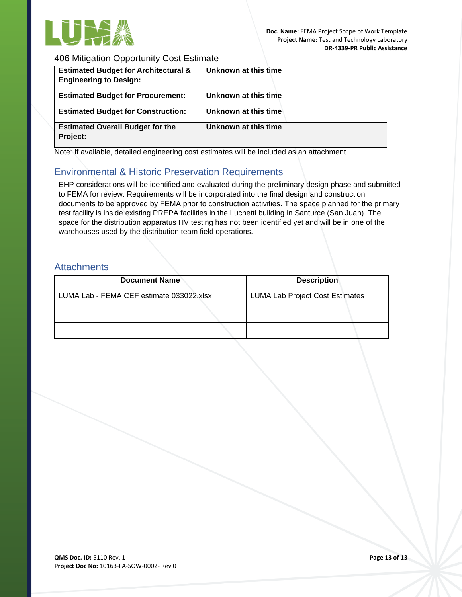

### 406 Mitigation Opportunity Cost Estimate

| <b>Estimated Budget for Architectural &amp;</b><br><b>Engineering to Design:</b> | Unknown at this time |
|----------------------------------------------------------------------------------|----------------------|
| <b>Estimated Budget for Procurement:</b>                                         | Unknown at this time |
| <b>Estimated Budget for Construction:</b>                                        | Unknown at this time |
| <b>Estimated Overall Budget for the</b><br>Project:                              | Unknown at this time |

<span id="page-16-0"></span>Note: If available, detailed engineering cost estimates will be included as an attachment.

# Environmental & Historic Preservation Requirements

EHP considerations will be identified and evaluated during the preliminary design phase and submitted to FEMA for review. Requirements will be incorporated into the final design and construction documents to be approved by FEMA prior to construction activities. The space planned for the primary test facility is inside existing PREPA facilities in the Luchetti building in Santurce (San Juan). The space for the distribution apparatus HV testing has not been identified yet and will be in one of the warehouses used by the distribution team field operations.

# <span id="page-16-1"></span>**Attachments**

| <b>Document Name</b>                     | <b>Description</b>                     |
|------------------------------------------|----------------------------------------|
| LUMA Lab - FEMA CEF estimate 033022.xlsx | <b>LUMA Lab Project Cost Estimates</b> |
|                                          |                                        |
|                                          |                                        |